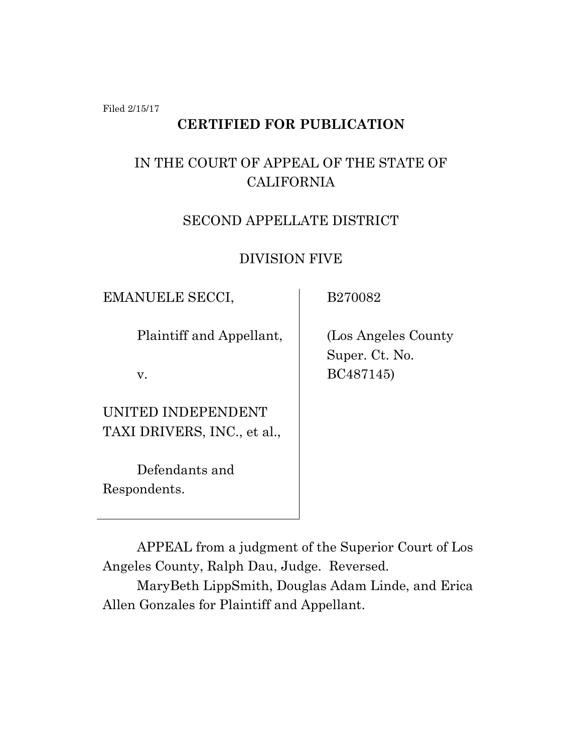Filed 2/15/17

## **CERTIFIED FOR PUBLICATION**

# IN THE COURT OF APPEAL OF THE STATE OF CALIFORNIA

### SECOND APPELLATE DISTRICT

### DIVISION FIVE

EMANUELE SECCI,

B270082

Plaintiff and Appellant,

v.

UNITED INDEPENDENT TAXI DRIVERS, INC., et al.,

Defendants and Respondents.

 (Los Angeles County Super. Ct. No. BC487145)

APPEAL from a judgment of the Superior Court of Los Angeles County, Ralph Dau, Judge. Reversed.

MaryBeth LippSmith, Douglas Adam Linde, and Erica Allen Gonzales for Plaintiff and Appellant.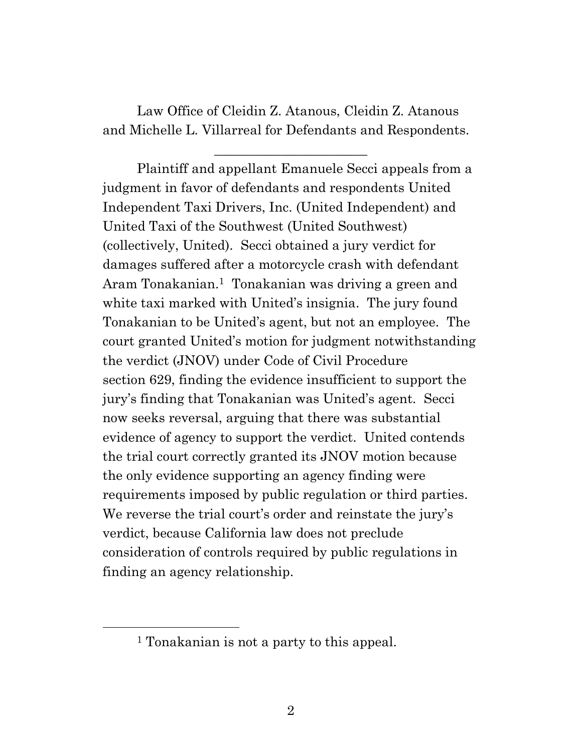Law Office of Cleidin Z. Atanous, Cleidin Z. Atanous and Michelle L. Villarreal for Defendants and Respondents.

 $\overline{\phantom{a}}$  , where  $\overline{\phantom{a}}$  , where  $\overline{\phantom{a}}$  , where  $\overline{\phantom{a}}$ 

Plaintiff and appellant Emanuele Secci appeals from a judgment in favor of defendants and respondents United Independent Taxi Drivers, Inc. (United Independent) and United Taxi of the Southwest (United Southwest) (collectively, United). Secci obtained a jury verdict for damages suffered after a motorcycle crash with defendant Aram Tonakanian.<sup>1</sup> Tonakanian was driving a green and white taxi marked with United's insignia. The jury found Tonakanian to be United's agent, but not an employee. The court granted United's motion for judgment notwithstanding the verdict (JNOV) under Code of Civil Procedure section 629, finding the evidence insufficient to support the jury's finding that Tonakanian was United's agent. Secci now seeks reversal, arguing that there was substantial evidence of agency to support the verdict. United contends the trial court correctly granted its JNOV motion because the only evidence supporting an agency finding were requirements imposed by public regulation or third parties. We reverse the trial court's order and reinstate the jury's verdict, because California law does not preclude consideration of controls required by public regulations in finding an agency relationship.

<sup>&</sup>lt;sup>1</sup> Tonakanian is not a party to this appeal.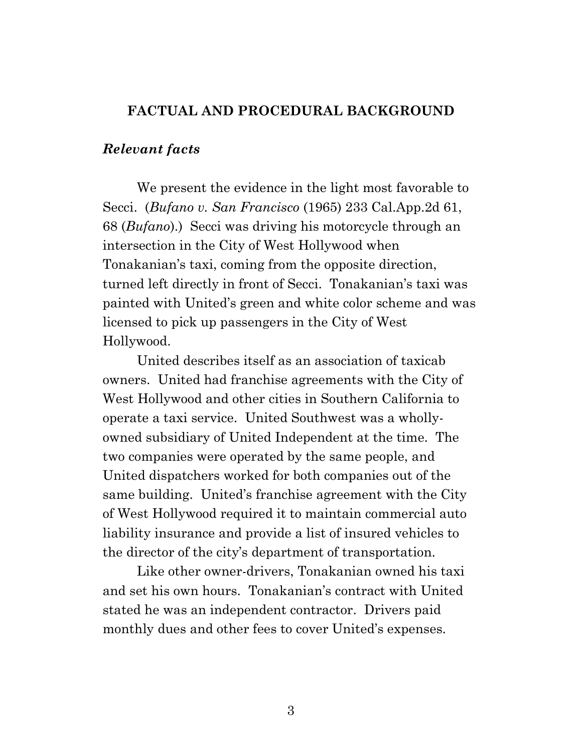#### **FACTUAL AND PROCEDURAL BACKGROUND**

#### *Relevant facts*

We present the evidence in the light most favorable to Secci. (*Bufano v. San Francisco* (1965) 233 Cal.App.2d 61, 68 (*Bufano*).) Secci was driving his motorcycle through an intersection in the City of West Hollywood when Tonakanian's taxi, coming from the opposite direction, turned left directly in front of Secci. Tonakanian's taxi was painted with United's green and white color scheme and was licensed to pick up passengers in the City of West Hollywood.

United describes itself as an association of taxicab owners. United had franchise agreements with the City of West Hollywood and other cities in Southern California to operate a taxi service. United Southwest was a whollyowned subsidiary of United Independent at the time. The two companies were operated by the same people, and United dispatchers worked for both companies out of the same building. United's franchise agreement with the City of West Hollywood required it to maintain commercial auto liability insurance and provide a list of insured vehicles to the director of the city's department of transportation.

Like other owner-drivers, Tonakanian owned his taxi and set his own hours. Tonakanian's contract with United stated he was an independent contractor. Drivers paid monthly dues and other fees to cover United's expenses.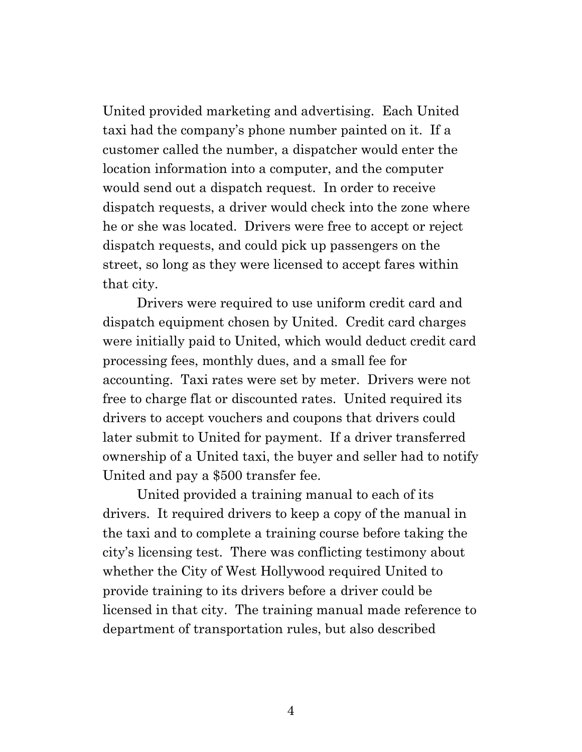United provided marketing and advertising. Each United taxi had the company's phone number painted on it. If a customer called the number, a dispatcher would enter the location information into a computer, and the computer would send out a dispatch request. In order to receive dispatch requests, a driver would check into the zone where he or she was located. Drivers were free to accept or reject dispatch requests, and could pick up passengers on the street, so long as they were licensed to accept fares within that city.

Drivers were required to use uniform credit card and dispatch equipment chosen by United. Credit card charges were initially paid to United, which would deduct credit card processing fees, monthly dues, and a small fee for accounting. Taxi rates were set by meter. Drivers were not free to charge flat or discounted rates. United required its drivers to accept vouchers and coupons that drivers could later submit to United for payment. If a driver transferred ownership of a United taxi, the buyer and seller had to notify United and pay a \$500 transfer fee.

United provided a training manual to each of its drivers. It required drivers to keep a copy of the manual in the taxi and to complete a training course before taking the city's licensing test. There was conflicting testimony about whether the City of West Hollywood required United to provide training to its drivers before a driver could be licensed in that city. The training manual made reference to department of transportation rules, but also described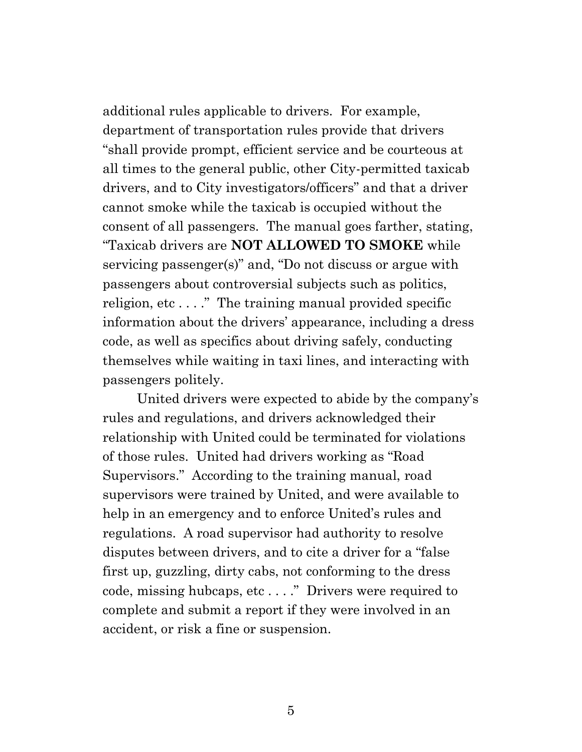additional rules applicable to drivers. For example, department of transportation rules provide that drivers "shall provide prompt, efficient service and be courteous at all times to the general public, other City-permitted taxicab drivers, and to City investigators/officers" and that a driver cannot smoke while the taxicab is occupied without the consent of all passengers. The manual goes farther, stating, "Taxicab drivers are **NOT ALLOWED TO SMOKE** while servicing passenger(s)" and, "Do not discuss or argue with passengers about controversial subjects such as politics, religion, etc...." The training manual provided specific information about the drivers' appearance, including a dress code, as well as specifics about driving safely, conducting themselves while waiting in taxi lines, and interacting with passengers politely.

United drivers were expected to abide by the company's rules and regulations, and drivers acknowledged their relationship with United could be terminated for violations of those rules. United had drivers working as "Road Supervisors." According to the training manual, road supervisors were trained by United, and were available to help in an emergency and to enforce United's rules and regulations. A road supervisor had authority to resolve disputes between drivers, and to cite a driver for a "false first up, guzzling, dirty cabs, not conforming to the dress code, missing hubcaps, etc . . . ." Drivers were required to complete and submit a report if they were involved in an accident, or risk a fine or suspension.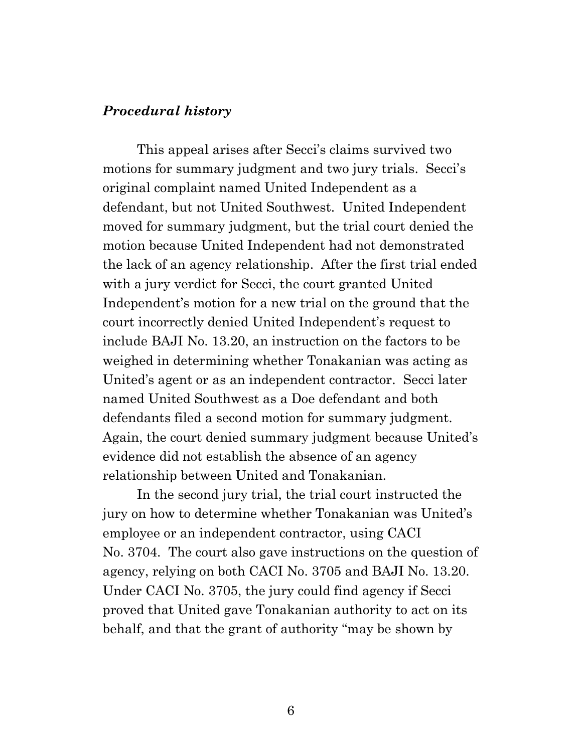### *Procedural history*

This appeal arises after Secci's claims survived two motions for summary judgment and two jury trials. Secci's original complaint named United Independent as a defendant, but not United Southwest. United Independent moved for summary judgment, but the trial court denied the motion because United Independent had not demonstrated the lack of an agency relationship. After the first trial ended with a jury verdict for Secci, the court granted United Independent's motion for a new trial on the ground that the court incorrectly denied United Independent's request to include BAJI No. 13.20, an instruction on the factors to be weighed in determining whether Tonakanian was acting as United's agent or as an independent contractor. Secci later named United Southwest as a Doe defendant and both defendants filed a second motion for summary judgment. Again, the court denied summary judgment because United's evidence did not establish the absence of an agency relationship between United and Tonakanian.

In the second jury trial, the trial court instructed the jury on how to determine whether Tonakanian was United's employee or an independent contractor, using CACI No. 3704. The court also gave instructions on the question of agency, relying on both CACI No. 3705 and BAJI No. 13.20. Under CACI No. 3705, the jury could find agency if Secci proved that United gave Tonakanian authority to act on its behalf, and that the grant of authority "may be shown by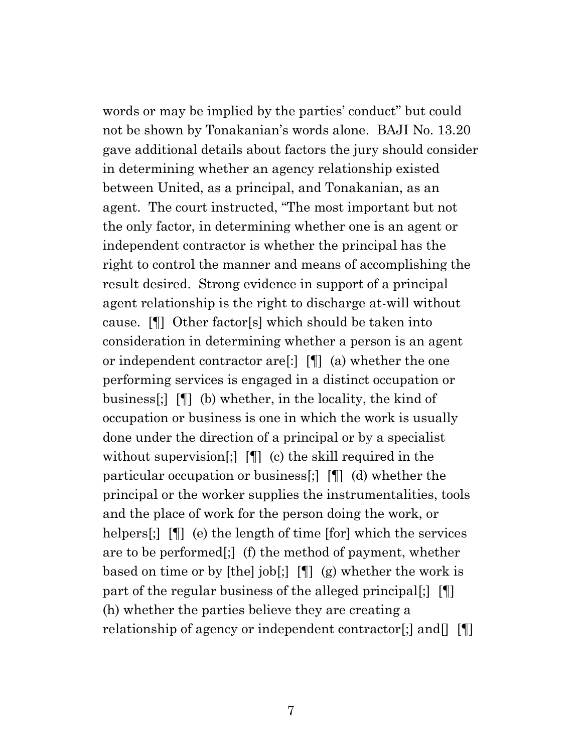words or may be implied by the parties' conduct" but could not be shown by Tonakanian's words alone. BAJI No. 13.20 gave additional details about factors the jury should consider in determining whether an agency relationship existed between United, as a principal, and Tonakanian, as an agent. The court instructed, "The most important but not the only factor, in determining whether one is an agent or independent contractor is whether the principal has the right to control the manner and means of accomplishing the result desired. Strong evidence in support of a principal agent relationship is the right to discharge at-will without cause. [¶] Other factor[s] which should be taken into consideration in determining whether a person is an agent or independent contractor are[:] [¶] (a) whether the one performing services is engaged in a distinct occupation or business[;] [¶] (b) whether, in the locality, the kind of occupation or business is one in which the work is usually done under the direction of a principal or by a specialist without supervision[;] [[] (c) the skill required in the particular occupation or business[;] [¶] (d) whether the principal or the worker supplies the instrumentalities, tools and the place of work for the person doing the work, or helpers[;]  $[\n\P]$  (e) the length of time [for] which the services are to be performed[;] (f) the method of payment, whether based on time or by [the] job[;] [¶] (g) whether the work is part of the regular business of the alleged principal[;] [¶] (h) whether the parties believe they are creating a relationship of agency or independent contractor[;] and  $\llbracket \cdot \rrbracket$ 

7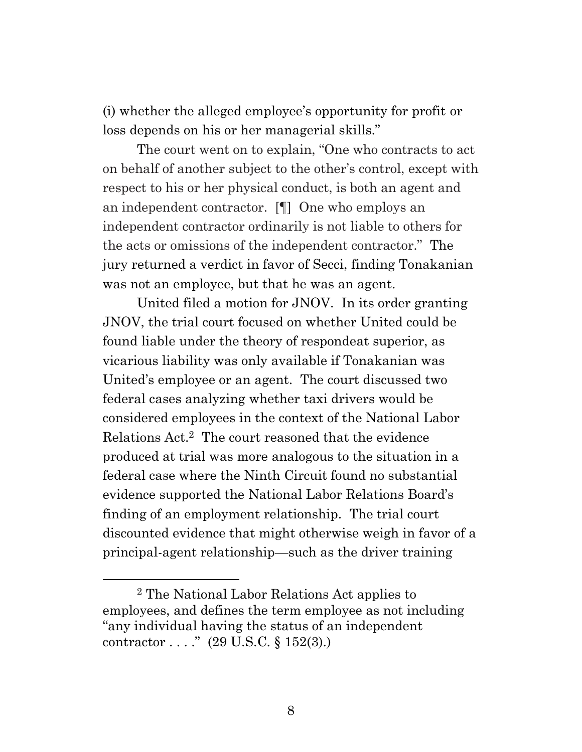(i) whether the alleged employee's opportunity for profit or loss depends on his or her managerial skills."

The court went on to explain, "One who contracts to act on behalf of another subject to the other's control, except with respect to his or her physical conduct, is both an agent and an independent contractor. [¶] One who employs an independent contractor ordinarily is not liable to others for the acts or omissions of the independent contractor." The jury returned a verdict in favor of Secci, finding Tonakanian was not an employee, but that he was an agent.

United filed a motion for JNOV. In its order granting JNOV, the trial court focused on whether United could be found liable under the theory of respondeat superior, as vicarious liability was only available if Tonakanian was United's employee or an agent. The court discussed two federal cases analyzing whether taxi drivers would be considered employees in the context of the National Labor Relations Act.2 The court reasoned that the evidence produced at trial was more analogous to the situation in a federal case where the Ninth Circuit found no substantial evidence supported the National Labor Relations Board's finding of an employment relationship. The trial court discounted evidence that might otherwise weigh in favor of a principal-agent relationship—such as the driver training

 $\overline{a}$ 

<sup>2</sup> The National Labor Relations Act applies to employees, and defines the term employee as not including "any individual having the status of an independent contractor  $\dots$ ." (29 U.S.C. § 152(3).)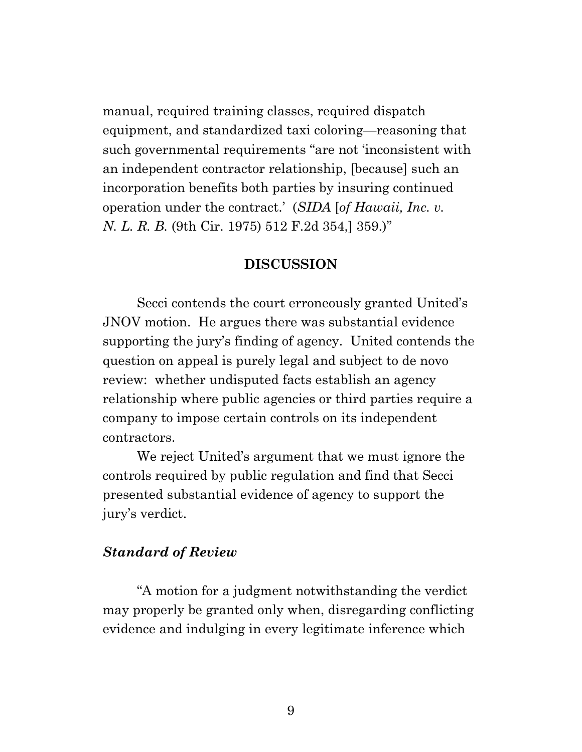manual, required training classes, required dispatch equipment, and standardized taxi coloring—reasoning that such governmental requirements "are not 'inconsistent with an independent contractor relationship, [because] such an incorporation benefits both parties by insuring continued operation under the contract.' (*SIDA* [*of Hawaii, Inc. v. N. L. R. B.* (9th Cir. 1975) 512 F.2d 354,] 359.)"

#### **DISCUSSION**

Secci contends the court erroneously granted United's JNOV motion. He argues there was substantial evidence supporting the jury's finding of agency. United contends the question on appeal is purely legal and subject to de novo review: whether undisputed facts establish an agency relationship where public agencies or third parties require a company to impose certain controls on its independent contractors.

We reject United's argument that we must ignore the controls required by public regulation and find that Secci presented substantial evidence of agency to support the jury's verdict.

### *Standard of Review*

"A motion for a judgment notwithstanding the verdict may properly be granted only when, disregarding conflicting evidence and indulging in every legitimate inference which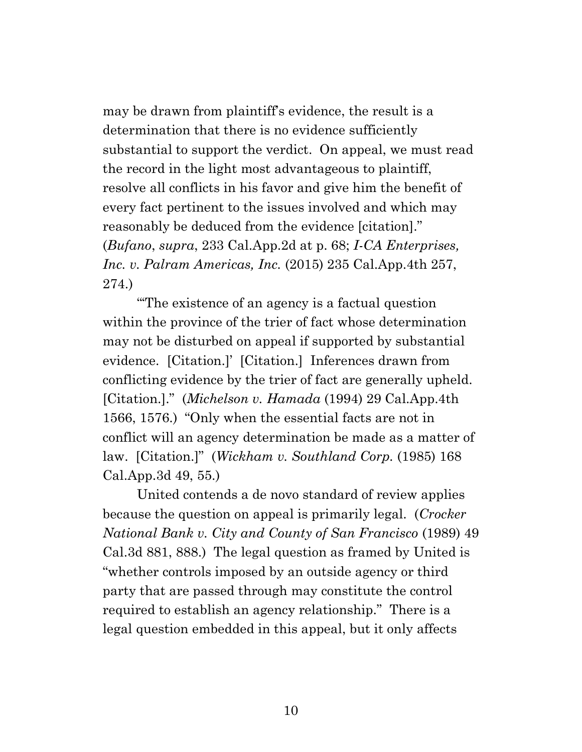may be drawn from plaintiff's evidence, the result is a determination that there is no evidence sufficiently substantial to support the verdict. On appeal, we must read the record in the light most advantageous to plaintiff, resolve all conflicts in his favor and give him the benefit of every fact pertinent to the issues involved and which may reasonably be deduced from the evidence [citation]." (*Bufano*, *supra*, 233 Cal.App.2d at p. 68; *I-CA Enterprises, Inc. v. Palram Americas, Inc.* (2015) 235 Cal.App.4th 257, 274.)

"'The existence of an agency is a factual question within the province of the trier of fact whose determination may not be disturbed on appeal if supported by substantial evidence. [Citation.]' [Citation.] Inferences drawn from conflicting evidence by the trier of fact are generally upheld. [Citation.]." (*Michelson v. Hamada* (1994) 29 Cal.App.4th 1566, 1576.) "Only when the essential facts are not in conflict will an agency determination be made as a matter of law. [Citation.]" (*Wickham v. Southland Corp.* (1985) 168 Cal.App.3d 49, 55.)

United contends a de novo standard of review applies because the question on appeal is primarily legal. (*Crocker National Bank v. City and County of San Francisco* (1989) 49 Cal.3d 881, 888.) The legal question as framed by United is "whether controls imposed by an outside agency or third party that are passed through may constitute the control required to establish an agency relationship." There is a legal question embedded in this appeal, but it only affects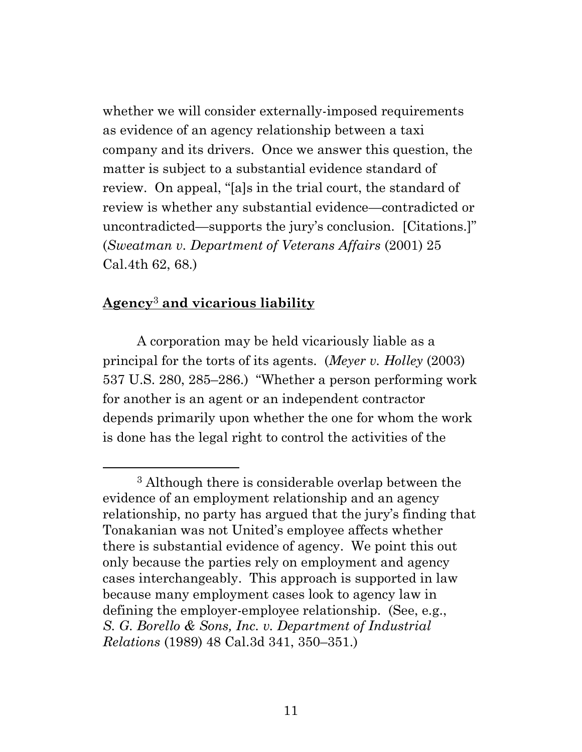whether we will consider externally-imposed requirements as evidence of an agency relationship between a taxi company and its drivers. Once we answer this question, the matter is subject to a substantial evidence standard of review. On appeal, "[a]s in the trial court, the standard of review is whether any substantial evidence—contradicted or uncontradicted—supports the jury's conclusion. [Citations.]" (*Sweatman v. Department of Veterans Affairs* (2001) 25 Cal.4th 62, 68.)

# **Agency**<sup>3</sup> **and vicarious liability**

A corporation may be held vicariously liable as a principal for the torts of its agents. (*Meyer v. Holley* (2003) 537 U.S. 280, 285–286.) "Whether a person performing work for another is an agent or an independent contractor depends primarily upon whether the one for whom the work is done has the legal right to control the activities of the

<sup>3</sup> Although there is considerable overlap between the evidence of an employment relationship and an agency relationship, no party has argued that the jury's finding that Tonakanian was not United's employee affects whether there is substantial evidence of agency. We point this out only because the parties rely on employment and agency cases interchangeably. This approach is supported in law because many employment cases look to agency law in defining the employer-employee relationship. (See, e.g., *S. G. Borello & Sons, Inc. v. Department of Industrial Relations* (1989) 48 Cal.3d 341, 350–351.)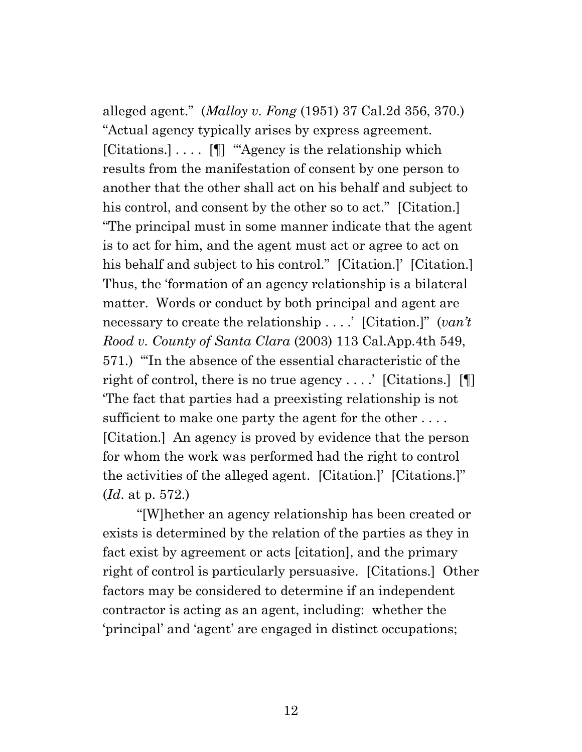alleged agent." (*Malloy v. Fong* (1951) 37 Cal.2d 356, 370.) "Actual agency typically arises by express agreement. [Citations.] . . . . [¶] '"Agency is the relationship which results from the manifestation of consent by one person to another that the other shall act on his behalf and subject to his control, and consent by the other so to act." [Citation.] "The principal must in some manner indicate that the agent is to act for him, and the agent must act or agree to act on his behalf and subject to his control." [Citation.]' [Citation.] Thus, the 'formation of an agency relationship is a bilateral matter. Words or conduct by both principal and agent are necessary to create the relationship . . . .' [Citation.]" (*van't Rood v. County of Santa Clara* (2003) 113 Cal.App.4th 549, 571.) "'In the absence of the essential characteristic of the right of control, there is no true agency . . . .  $\lceil$  [Citations.]  $\lceil \P \rceil$ ] 'The fact that parties had a preexisting relationship is not sufficient to make one party the agent for the other .... [Citation.] An agency is proved by evidence that the person for whom the work was performed had the right to control the activities of the alleged agent. [Citation.]' [Citations.]" (*Id*. at p. 572.)

"[W]hether an agency relationship has been created or exists is determined by the relation of the parties as they in fact exist by agreement or acts [citation], and the primary right of control is particularly persuasive. [Citations.] Other factors may be considered to determine if an independent contractor is acting as an agent, including: whether the 'principal' and 'agent' are engaged in distinct occupations;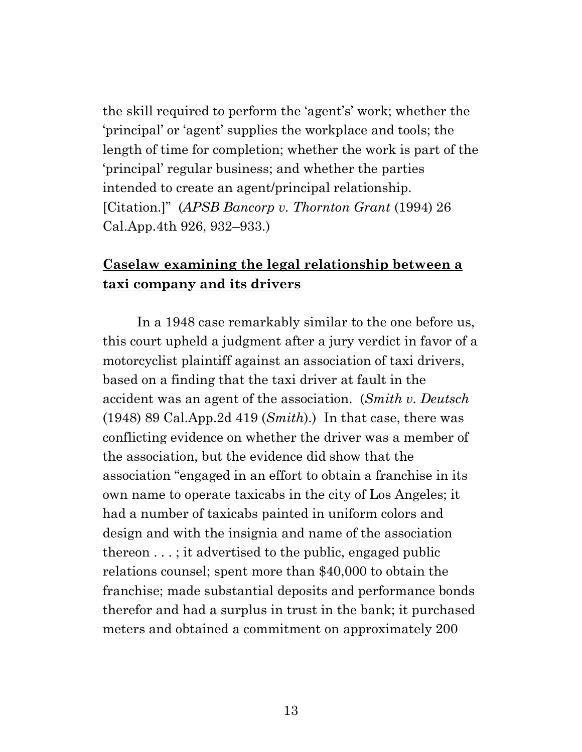the skill required to perform the 'agent's' work; whether the 'principal' or 'agent' supplies the workplace and tools; the length of time for completion; whether the work is part of the 'principal' regular business; and whether the parties intended to create an agent/principal relationship. [Citation.]" (*APSB Bancorp v. Thornton Grant* (1994) 26 Cal.App.4th 926, 932–933.)

## **Caselaw examining the legal relationship between a taxi company and its drivers**

In a 1948 case remarkably similar to the one before us, this court upheld a judgment after a jury verdict in favor of a motorcyclist plaintiff against an association of taxi drivers, based on a finding that the taxi driver at fault in the accident was an agent of the association. (*Smith v. Deutsch* (1948) 89 Cal.App.2d 419 (*Smith*).) In that case, there was conflicting evidence on whether the driver was a member of the association, but the evidence did show that the association "engaged in an effort to obtain a franchise in its own name to operate taxicabs in the city of Los Angeles; it had a number of taxicabs painted in uniform colors and design and with the insignia and name of the association thereon . . . ; it advertised to the public, engaged public relations counsel; spent more than \$40,000 to obtain the franchise; made substantial deposits and performance bonds therefor and had a surplus in trust in the bank; it purchased meters and obtained a commitment on approximately 200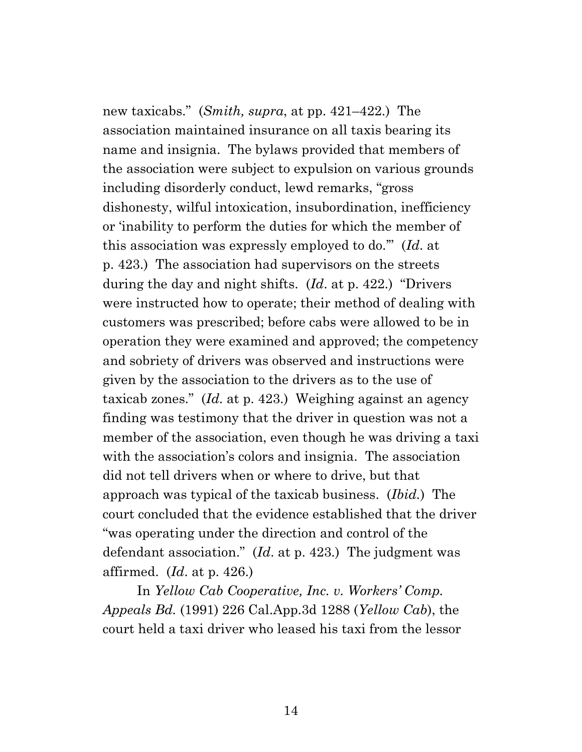new taxicabs." (*Smith, supra*, at pp. 421–422.) The association maintained insurance on all taxis bearing its name and insignia. The bylaws provided that members of the association were subject to expulsion on various grounds including disorderly conduct, lewd remarks, "gross dishonesty, wilful intoxication, insubordination, inefficiency or 'inability to perform the duties for which the member of this association was expressly employed to do.'" (*Id*. at p. 423.) The association had supervisors on the streets during the day and night shifts. (*Id*. at p. 422.) "Drivers were instructed how to operate; their method of dealing with customers was prescribed; before cabs were allowed to be in operation they were examined and approved; the competency and sobriety of drivers was observed and instructions were given by the association to the drivers as to the use of taxicab zones." (*Id*. at p. 423.) Weighing against an agency finding was testimony that the driver in question was not a member of the association, even though he was driving a taxi with the association's colors and insignia. The association did not tell drivers when or where to drive, but that approach was typical of the taxicab business. (*Ibid.*) The court concluded that the evidence established that the driver "was operating under the direction and control of the defendant association." (*Id*. at p. 423.) The judgment was affirmed. (*Id*. at p. 426.)

In *Yellow Cab Cooperative, Inc. v. Workers' Comp. Appeals Bd.* (1991) 226 Cal.App.3d 1288 (*Yellow Cab*), the court held a taxi driver who leased his taxi from the lessor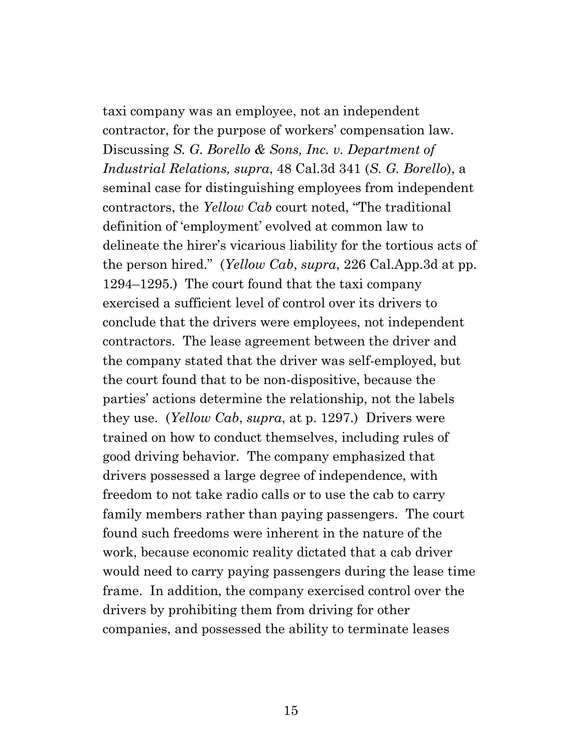taxi company was an employee, not an independent contractor, for the purpose of workers' compensation law. Discussing *S. G. Borello & Sons, Inc. v. Department of Industrial Relations, supra*, 48 Cal.3d 341 (*S. G. Borello*), a seminal case for distinguishing employees from independent contractors, the *Yellow Cab* court noted, "The traditional definition of 'employment' evolved at common law to delineate the hirer's vicarious liability for the tortious acts of the person hired." (*Yellow Cab*, *supra*, 226 Cal.App.3d at pp. 1294–1295.) The court found that the taxi company exercised a sufficient level of control over its drivers to conclude that the drivers were employees, not independent contractors. The lease agreement between the driver and the company stated that the driver was self-employed, but the court found that to be non-dispositive, because the parties' actions determine the relationship, not the labels they use. (*Yellow Cab*, *supra*, at p. 1297.) Drivers were trained on how to conduct themselves, including rules of good driving behavior. The company emphasized that drivers possessed a large degree of independence, with freedom to not take radio calls or to use the cab to carry family members rather than paying passengers. The court found such freedoms were inherent in the nature of the work, because economic reality dictated that a cab driver would need to carry paying passengers during the lease time frame. In addition, the company exercised control over the drivers by prohibiting them from driving for other companies, and possessed the ability to terminate leases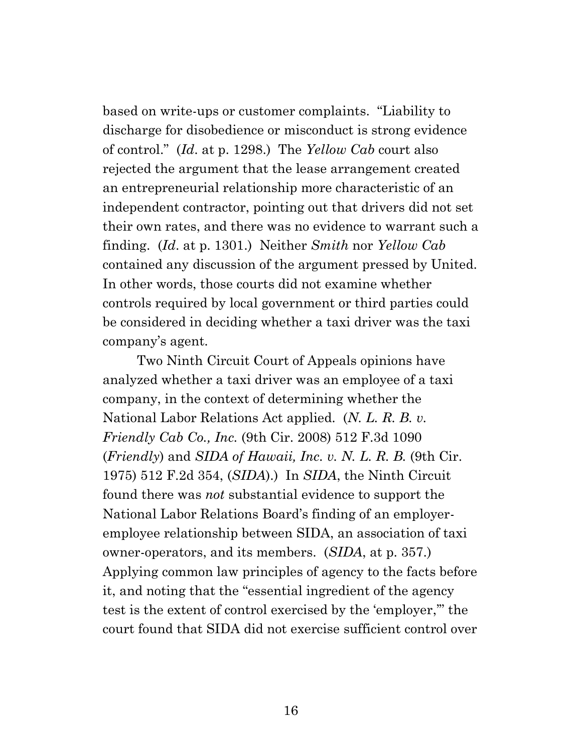based on write-ups or customer complaints. "Liability to discharge for disobedience or misconduct is strong evidence of control." (*Id*. at p. 1298.) The *Yellow Cab* court also rejected the argument that the lease arrangement created an entrepreneurial relationship more characteristic of an independent contractor, pointing out that drivers did not set their own rates, and there was no evidence to warrant such a finding. (*Id*. at p. 1301.) Neither *Smith* nor *Yellow Cab* contained any discussion of the argument pressed by United. In other words, those courts did not examine whether controls required by local government or third parties could be considered in deciding whether a taxi driver was the taxi company's agent.

Two Ninth Circuit Court of Appeals opinions have analyzed whether a taxi driver was an employee of a taxi company, in the context of determining whether the National Labor Relations Act applied. (*N. L. R. B. v. Friendly Cab Co., Inc.* (9th Cir. 2008) 512 F.3d 1090 (*Friendly*) and *SIDA of Hawaii, Inc. v. N. L. R. B.* (9th Cir. 1975) 512 F.2d 354, (*SIDA*).) In *SIDA*, the Ninth Circuit found there was *not* substantial evidence to support the National Labor Relations Board's finding of an employeremployee relationship between SIDA, an association of taxi owner-operators, and its members. (*SIDA*, at p. 357.) Applying common law principles of agency to the facts before it, and noting that the "essential ingredient of the agency test is the extent of control exercised by the 'employer,'" the court found that SIDA did not exercise sufficient control over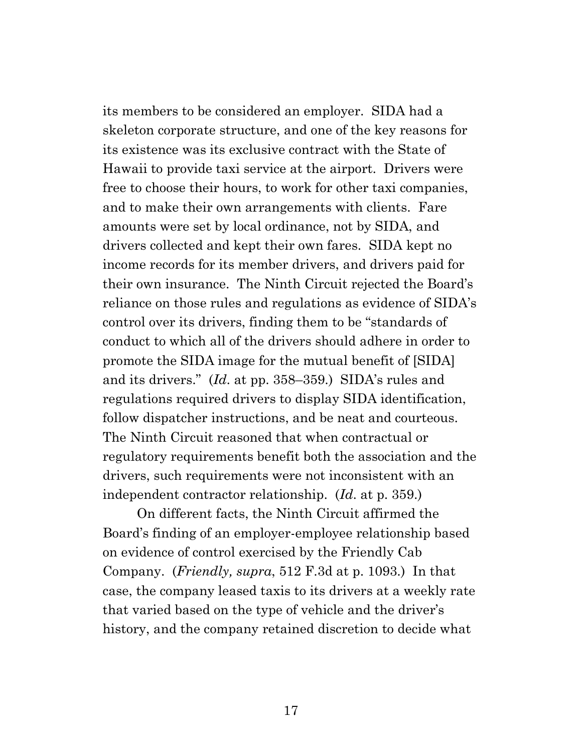its members to be considered an employer. SIDA had a skeleton corporate structure, and one of the key reasons for its existence was its exclusive contract with the State of Hawaii to provide taxi service at the airport. Drivers were free to choose their hours, to work for other taxi companies, and to make their own arrangements with clients. Fare amounts were set by local ordinance, not by SIDA, and drivers collected and kept their own fares. SIDA kept no income records for its member drivers, and drivers paid for their own insurance. The Ninth Circuit rejected the Board's reliance on those rules and regulations as evidence of SIDA's control over its drivers, finding them to be "standards of conduct to which all of the drivers should adhere in order to promote the SIDA image for the mutual benefit of [SIDA] and its drivers." (*Id*. at pp. 358–359.) SIDA's rules and regulations required drivers to display SIDA identification, follow dispatcher instructions, and be neat and courteous. The Ninth Circuit reasoned that when contractual or regulatory requirements benefit both the association and the drivers, such requirements were not inconsistent with an independent contractor relationship. (*Id*. at p. 359.)

On different facts, the Ninth Circuit affirmed the Board's finding of an employer-employee relationship based on evidence of control exercised by the Friendly Cab Company. (*Friendly, supra*, 512 F.3d at p. 1093.) In that case, the company leased taxis to its drivers at a weekly rate that varied based on the type of vehicle and the driver's history, and the company retained discretion to decide what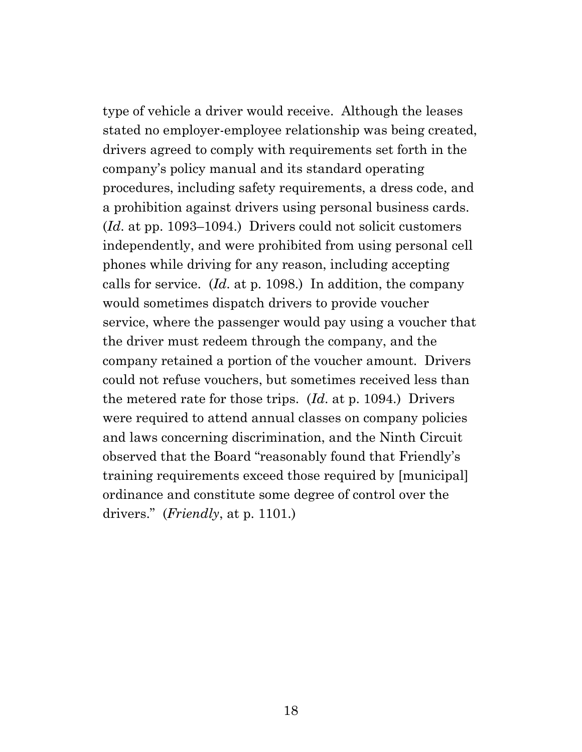type of vehicle a driver would receive. Although the leases stated no employer-employee relationship was being created, drivers agreed to comply with requirements set forth in the company's policy manual and its standard operating procedures, including safety requirements, a dress code, and a prohibition against drivers using personal business cards. (*Id*. at pp. 1093–1094.) Drivers could not solicit customers independently, and were prohibited from using personal cell phones while driving for any reason, including accepting calls for service. (*Id*. at p. 1098.) In addition, the company would sometimes dispatch drivers to provide voucher service, where the passenger would pay using a voucher that the driver must redeem through the company, and the company retained a portion of the voucher amount. Drivers could not refuse vouchers, but sometimes received less than the metered rate for those trips. (*Id*. at p. 1094.) Drivers were required to attend annual classes on company policies and laws concerning discrimination, and the Ninth Circuit observed that the Board "reasonably found that Friendly's training requirements exceed those required by [municipal] ordinance and constitute some degree of control over the drivers." (*Friendly*, at p. 1101.)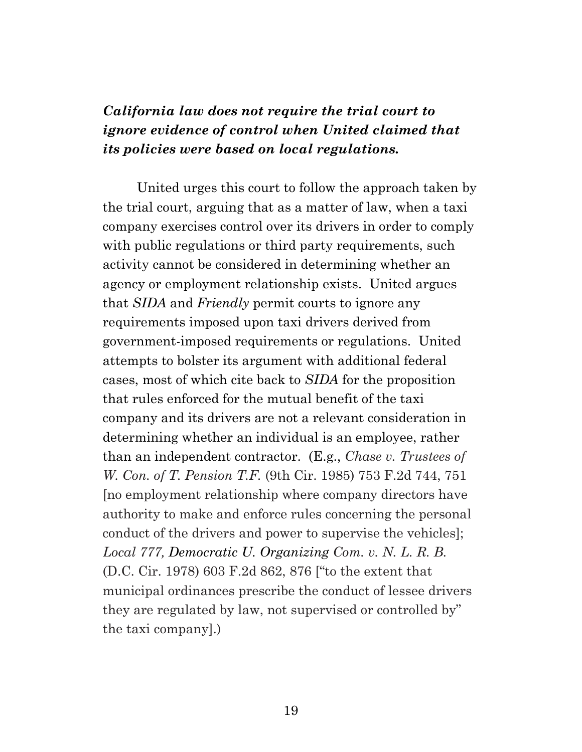# *California law does not require the trial court to ignore evidence of control when United claimed that its policies were based on local regulations.*

United urges this court to follow the approach taken by the trial court, arguing that as a matter of law, when a taxi company exercises control over its drivers in order to comply with public regulations or third party requirements, such activity cannot be considered in determining whether an agency or employment relationship exists. United argues that *SIDA* and *Friendly* permit courts to ignore any requirements imposed upon taxi drivers derived from government-imposed requirements or regulations. United attempts to bolster its argument with additional federal cases, most of which cite back to *SIDA* for the proposition that rules enforced for the mutual benefit of the taxi company and its drivers are not a relevant consideration in determining whether an individual is an employee, rather than an independent contractor. (E.g., *Chase v. Trustees of W. Con. of T. Pension T.F.* (9th Cir. 1985) 753 F.2d 744, 751 [no employment relationship where company directors have authority to make and enforce rules concerning the personal conduct of the drivers and power to supervise the vehicles]; *Local 777, Democratic U. Organizing Com. v. N. L. R. B.* (D.C. Cir. 1978) 603 F.2d 862, 876 ["to the extent that municipal ordinances prescribe the conduct of lessee drivers they are regulated by law, not supervised or controlled by" the taxi company].)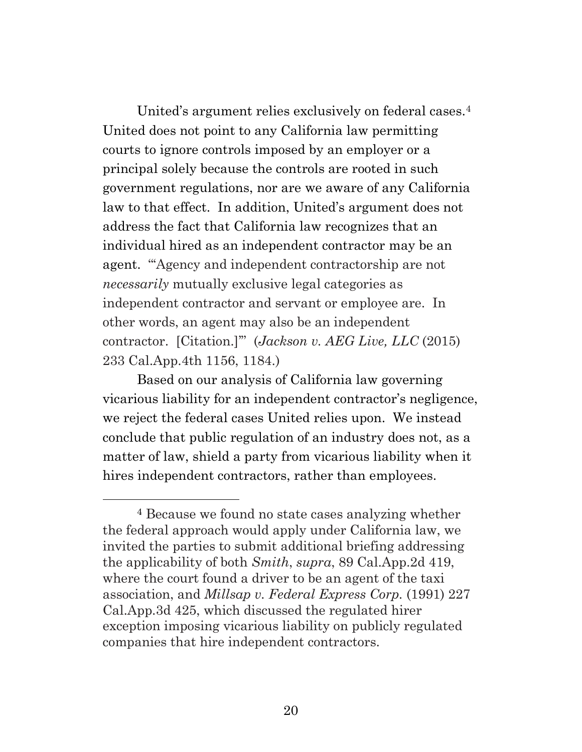United's argument relies exclusively on federal cases.<sup>4</sup> United does not point to any California law permitting courts to ignore controls imposed by an employer or a principal solely because the controls are rooted in such government regulations, nor are we aware of any California law to that effect. In addition, United's argument does not address the fact that California law recognizes that an individual hired as an independent contractor may be an agent. "'Agency and independent contractorship are not *necessarily* mutually exclusive legal categories as independent contractor and servant or employee are. In other words, an agent may also be an independent contractor. [Citation.]'" (*Jackson v. AEG Live, LLC* (2015) 233 Cal.App.4th 1156, 1184.)

Based on our analysis of California law governing vicarious liability for an independent contractor's negligence, we reject the federal cases United relies upon. We instead conclude that public regulation of an industry does not, as a matter of law, shield a party from vicarious liability when it hires independent contractors, rather than employees.

<sup>4</sup> Because we found no state cases analyzing whether the federal approach would apply under California law, we invited the parties to submit additional briefing addressing the applicability of both *Smith*, *supra*, 89 Cal.App.2d 419, where the court found a driver to be an agent of the taxi association, and *Millsap v. Federal Express Corp.* (1991) 227 Cal.App.3d 425, which discussed the regulated hirer exception imposing vicarious liability on publicly regulated companies that hire independent contractors.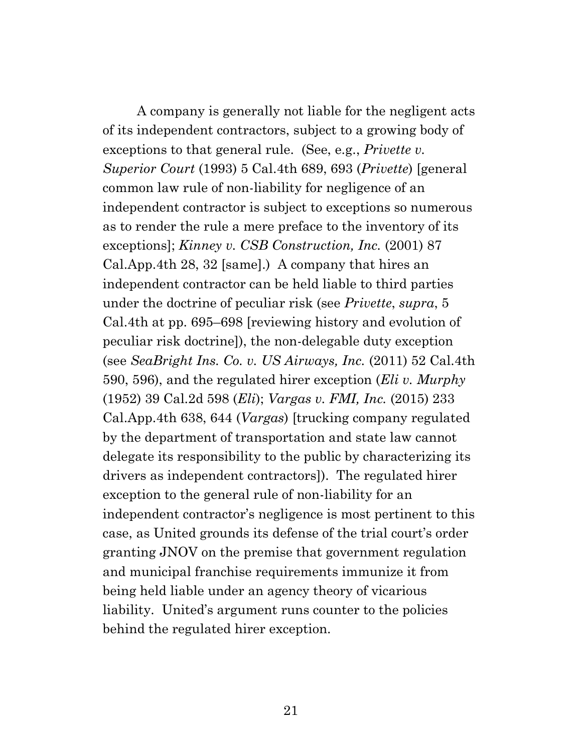A company is generally not liable for the negligent acts of its independent contractors, subject to a growing body of exceptions to that general rule. (See, e.g., *Privette v. Superior Court* (1993) 5 Cal.4th 689, 693 (*Privette*) [general common law rule of non-liability for negligence of an independent contractor is subject to exceptions so numerous as to render the rule a mere preface to the inventory of its exceptions]; *Kinney v. CSB Construction, Inc.* (2001) 87 Cal.App.4th 28, 32 [same].) A company that hires an independent contractor can be held liable to third parties under the doctrine of peculiar risk (see *Privette*, *supra*, 5 Cal.4th at pp. 695–698 [reviewing history and evolution of peculiar risk doctrine]), the non-delegable duty exception (see *SeaBright Ins. Co. v. US Airways, Inc.* (2011) 52 Cal.4th 590, 596), and the regulated hirer exception (*Eli v. Murphy* (1952) 39 Cal.2d 598 (*Eli*); *Vargas v. FMI, Inc.* (2015) 233 Cal.App.4th 638, 644 (*Vargas*) [trucking company regulated by the department of transportation and state law cannot delegate its responsibility to the public by characterizing its drivers as independent contractors]). The regulated hirer exception to the general rule of non-liability for an independent contractor's negligence is most pertinent to this case, as United grounds its defense of the trial court's order granting JNOV on the premise that government regulation and municipal franchise requirements immunize it from being held liable under an agency theory of vicarious liability. United's argument runs counter to the policies behind the regulated hirer exception.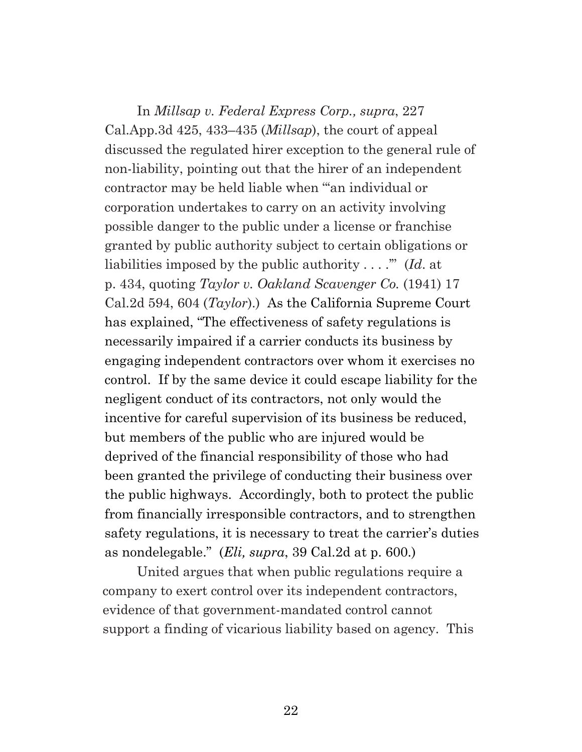In *Millsap v. Federal Express Corp., supra*, 227 Cal.App.3d 425, 433–435 (*Millsap*), the court of appeal discussed the regulated hirer exception to the general rule of non-liability, pointing out that the hirer of an independent contractor may be held liable when "'an individual or corporation undertakes to carry on an activity involving possible danger to the public under a license or franchise granted by public authority subject to certain obligations or liabilities imposed by the public authority . . . .'" (*Id*. at p. 434, quoting *Taylor v. Oakland Scavenger Co.* (1941) 17 Cal.2d 594, 604 (*Taylor*).) As the California Supreme Court has explained, "The effectiveness of safety regulations is necessarily impaired if a carrier conducts its business by engaging independent contractors over whom it exercises no control. If by the same device it could escape liability for the negligent conduct of its contractors, not only would the incentive for careful supervision of its business be reduced, but members of the public who are injured would be deprived of the financial responsibility of those who had been granted the privilege of conducting their business over the public highways. Accordingly, both to protect the public from financially irresponsible contractors, and to strengthen safety regulations, it is necessary to treat the carrier's duties as nondelegable." (*Eli, supra*, 39 Cal.2d at p. 600.)

United argues that when public regulations require a company to exert control over its independent contractors, evidence of that government-mandated control cannot support a finding of vicarious liability based on agency. This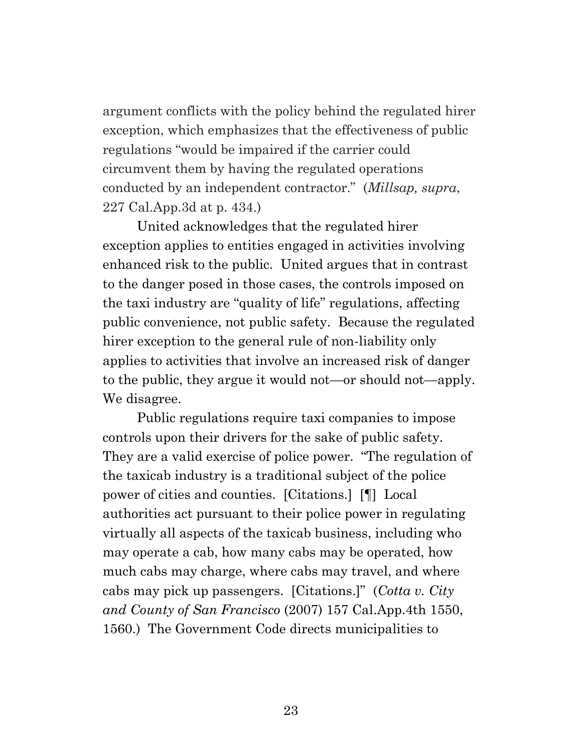argument conflicts with the policy behind the regulated hirer exception, which emphasizes that the effectiveness of public regulations "would be impaired if the carrier could circumvent them by having the regulated operations conducted by an independent contractor." (*Millsap, supra*, 227 Cal.App.3d at p. 434.)

United acknowledges that the regulated hirer exception applies to entities engaged in activities involving enhanced risk to the public. United argues that in contrast to the danger posed in those cases, the controls imposed on the taxi industry are "quality of life" regulations, affecting public convenience, not public safety. Because the regulated hirer exception to the general rule of non-liability only applies to activities that involve an increased risk of danger to the public, they argue it would not—or should not—apply. We disagree.

Public regulations require taxi companies to impose controls upon their drivers for the sake of public safety. They are a valid exercise of police power. "The regulation of the taxicab industry is a traditional subject of the police power of cities and counties. [Citations.] [¶] Local authorities act pursuant to their police power in regulating virtually all aspects of the taxicab business, including who may operate a cab, how many cabs may be operated, how much cabs may charge, where cabs may travel, and where cabs may pick up passengers. [Citations.]" (*Cotta v. City and County of San Francisco* (2007) 157 Cal.App.4th 1550, 1560.) The Government Code directs municipalities to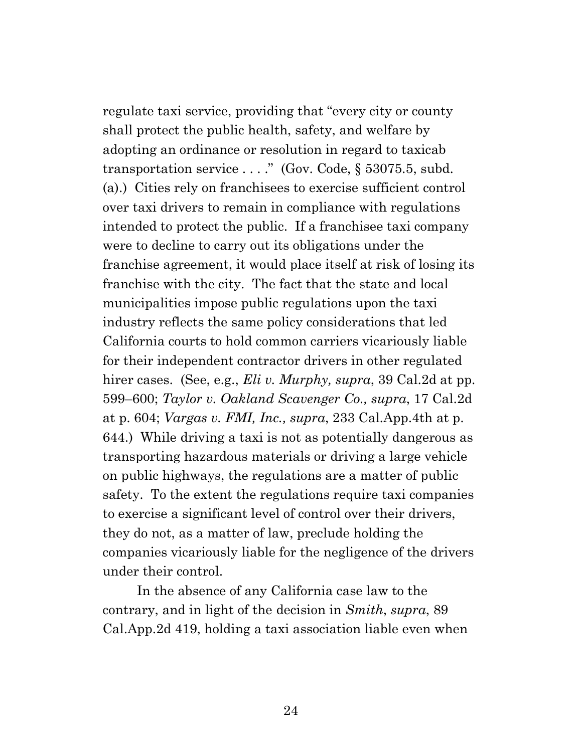regulate taxi service, providing that "every city or county shall protect the public health, safety, and welfare by adopting an ordinance or resolution in regard to taxicab transportation service . . . ." (Gov. Code, § 53075.5, subd. (a).) Cities rely on franchisees to exercise sufficient control over taxi drivers to remain in compliance with regulations intended to protect the public. If a franchisee taxi company were to decline to carry out its obligations under the franchise agreement, it would place itself at risk of losing its franchise with the city. The fact that the state and local municipalities impose public regulations upon the taxi industry reflects the same policy considerations that led California courts to hold common carriers vicariously liable for their independent contractor drivers in other regulated hirer cases. (See, e.g., *Eli v. Murphy, supra*, 39 Cal.2d at pp. 599–600; *Taylor v. Oakland Scavenger Co., supra*, 17 Cal.2d at p. 604; *Vargas v. FMI, Inc., supra*, 233 Cal.App.4th at p. 644.) While driving a taxi is not as potentially dangerous as transporting hazardous materials or driving a large vehicle on public highways, the regulations are a matter of public safety. To the extent the regulations require taxi companies to exercise a significant level of control over their drivers, they do not, as a matter of law, preclude holding the companies vicariously liable for the negligence of the drivers under their control.

In the absence of any California case law to the contrary, and in light of the decision in *Smith*, *supra*, 89 Cal.App.2d 419, holding a taxi association liable even when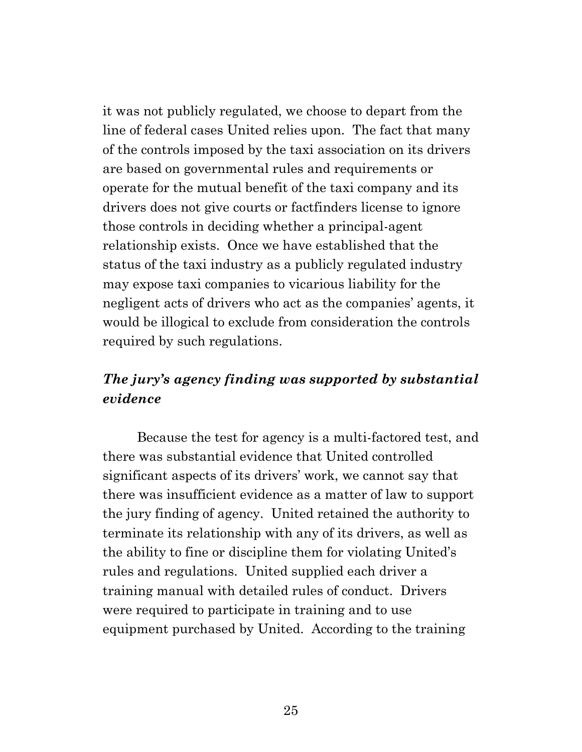it was not publicly regulated, we choose to depart from the line of federal cases United relies upon. The fact that many of the controls imposed by the taxi association on its drivers are based on governmental rules and requirements or operate for the mutual benefit of the taxi company and its drivers does not give courts or factfinders license to ignore those controls in deciding whether a principal-agent relationship exists. Once we have established that the status of the taxi industry as a publicly regulated industry may expose taxi companies to vicarious liability for the negligent acts of drivers who act as the companies' agents, it would be illogical to exclude from consideration the controls required by such regulations.

## *The jury's agency finding was supported by substantial evidence*

Because the test for agency is a multi-factored test, and there was substantial evidence that United controlled significant aspects of its drivers' work, we cannot say that there was insufficient evidence as a matter of law to support the jury finding of agency. United retained the authority to terminate its relationship with any of its drivers, as well as the ability to fine or discipline them for violating United's rules and regulations. United supplied each driver a training manual with detailed rules of conduct. Drivers were required to participate in training and to use equipment purchased by United. According to the training